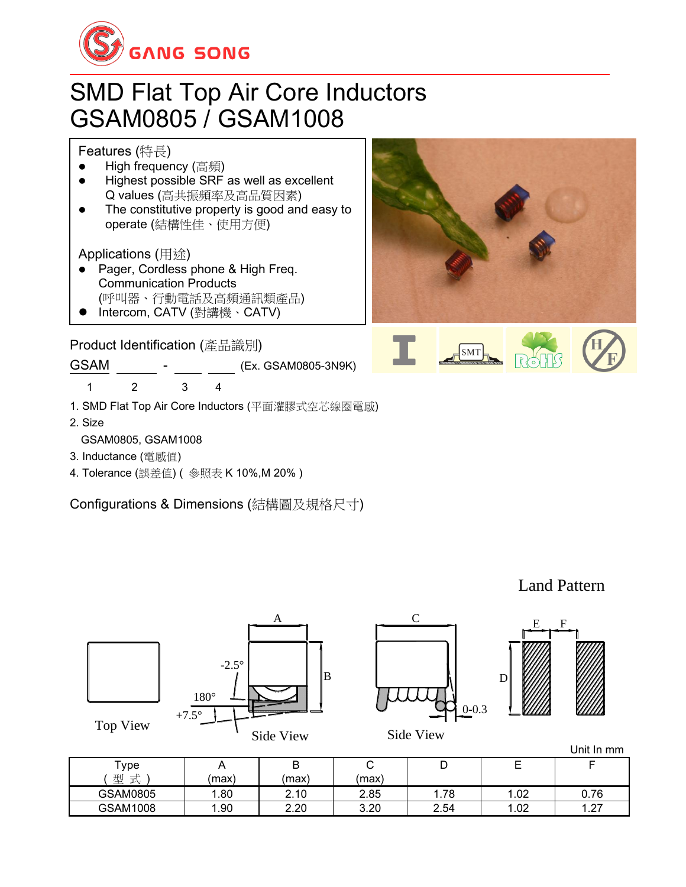

## SMD Flat Top Air Core Inductors GSAM0805 / GSAM1008

Features (特長)

- High frequency (高頻)
- ⚫ Highest possible SRF as well as excellent Q values (高共振頻率及高品質因素)
- The constitutive property is good and easy to operate (結構性佳、使用方便)

Applications (用途)

- Pager, Cordless phone & High Freq. Communication Products (呼叫器、行動電話及高頻通訊類產品)
- ⚫ Intercom, CATV (對講機、CATV)

Product Identification (產品識別)

GSAM \_\_\_\_\_\_ - \_\_\_ \_\_ (Ex. GSAM0805-3N9K)

1 2 3 4

- 1. SMD Flat Top Air Core Inductors (平面灌膠式空芯線圈電感)
- 2. Size
	- GSAM0805, GSAM1008
- 3. Inductance (電感值)
- 4. Tolerance (誤差值) ( 參照表 K 10%,M 20% )

Configurations & Dimensions (結構圖及規格尺寸)





Land Pattern



Top View







Side View

| ype.               |      | D<br>D | ∽    | ◡    | -<br><u>.</u> |                           |
|--------------------|------|--------|------|------|---------------|---------------------------|
| 型<br>$\rightarrow$ | (max | max    | max  |      |               |                           |
| GSAM0805           | .80  | 2.10   | 2.85 | 1.78 | .02           | 0.76                      |
| GSAM1008           | .90  | 2.20   | 3.20 | 2.54 | .02           | ົດສ<br>$\cdot$ . $\sim$ . |